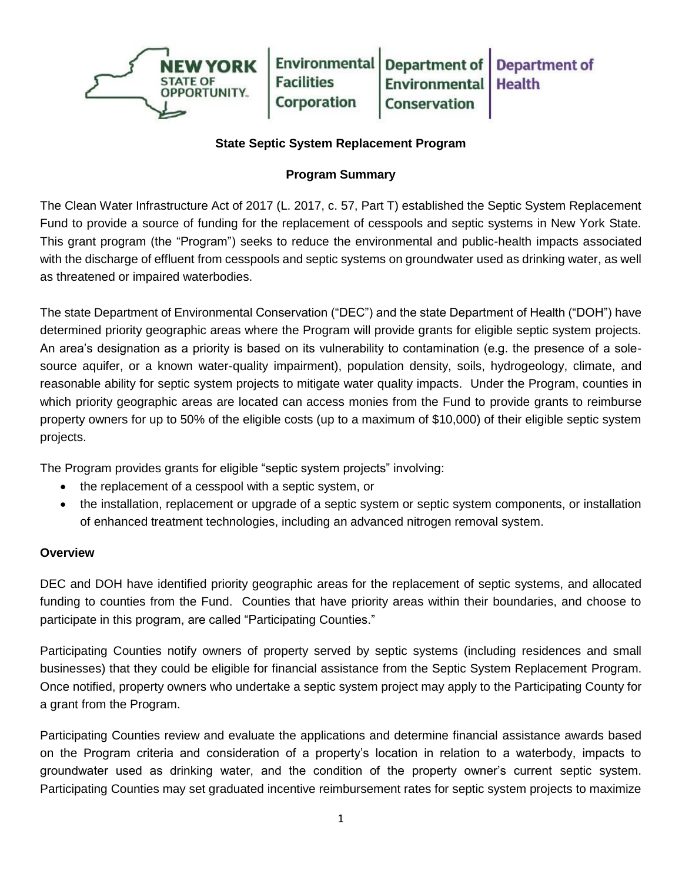

## **State Septic System Replacement Program**

## **Program Summary**

The Clean Water Infrastructure Act of 2017 (L. 2017, c. 57, Part T) established the Septic System Replacement Fund to provide a source of funding for the replacement of cesspools and septic systems in New York State. This grant program (the "Program") seeks to reduce the environmental and public-health impacts associated with the discharge of effluent from cesspools and septic systems on groundwater used as drinking water, as well as threatened or impaired waterbodies.

The state Department of Environmental Conservation ("DEC") and the state Department of Health ("DOH") have determined priority geographic areas where the Program will provide grants for eligible septic system projects. An area's designation as a priority is based on its vulnerability to contamination (e.g. the presence of a solesource aquifer, or a known water-quality impairment), population density, soils, hydrogeology, climate, and reasonable ability for septic system projects to mitigate water quality impacts. Under the Program, counties in which priority geographic areas are located can access monies from the Fund to provide grants to reimburse property owners for up to 50% of the eligible costs (up to a maximum of \$10,000) of their eligible septic system projects.

The Program provides grants for eligible "septic system projects" involving:

- the replacement of a cesspool with a septic system, or
- the installation, replacement or upgrade of a septic system or septic system components, or installation of enhanced treatment technologies, including an advanced nitrogen removal system.

## **Overview**

DEC and DOH have identified priority geographic areas for the replacement of septic systems, and allocated funding to counties from the Fund. Counties that have priority areas within their boundaries, and choose to participate in this program, are called "Participating Counties."

Participating Counties notify owners of property served by septic systems (including residences and small businesses) that they could be eligible for financial assistance from the Septic System Replacement Program. Once notified, property owners who undertake a septic system project may apply to the Participating County for a grant from the Program.

Participating Counties review and evaluate the applications and determine financial assistance awards based on the Program criteria and consideration of a property's location in relation to a waterbody, impacts to groundwater used as drinking water, and the condition of the property owner's current septic system. Participating Counties may set graduated incentive reimbursement rates for septic system projects to maximize